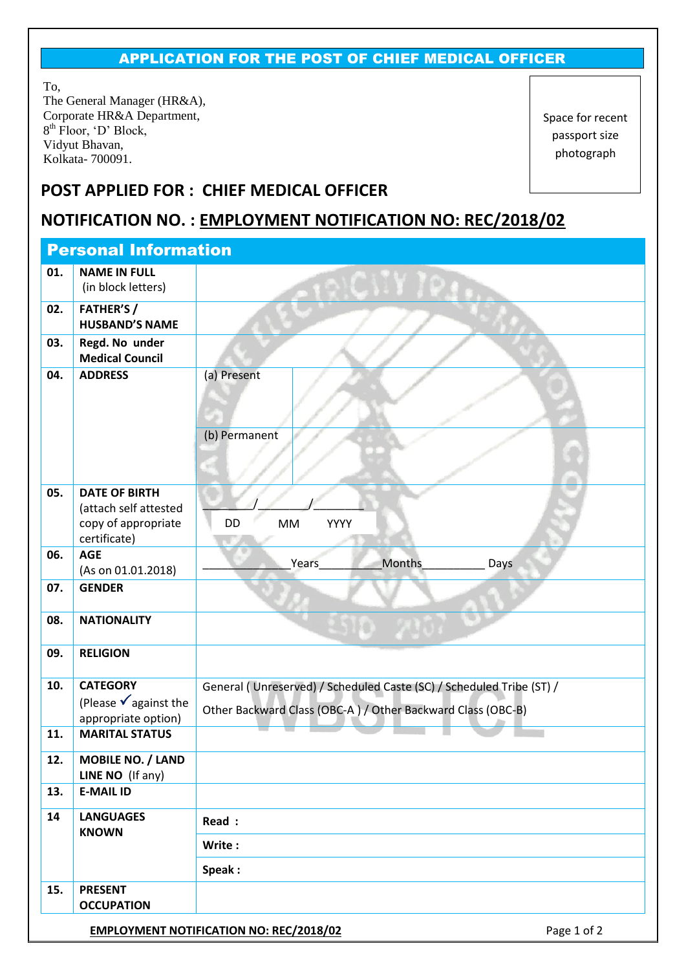## APPLICATION FOR THE POST OF CHIEF MEDICAL OFFICER

To, The General Manager (HR&A), Corporate HR&A Department, 8<sup>th</sup> Floor, 'D' Block, Vidyut Bhavan, Kolkata- 700091.

Space for recent passport size photograph

## **POST APPLIED FOR : CHIEF MEDICAL OFFICER**

## **NOTIFICATION NO. : EMPLOYMENT NOTIFICATION NO: REC/2018/02**

| <b>Personal Information</b> |                                                                          |                                                                                                                                     |  |  |  |  |  |
|-----------------------------|--------------------------------------------------------------------------|-------------------------------------------------------------------------------------------------------------------------------------|--|--|--|--|--|
| 01.                         | <b>NAME IN FULL</b><br>(in block letters)                                |                                                                                                                                     |  |  |  |  |  |
| 02.                         | <b>FATHER'S/</b><br><b>HUSBAND'S NAME</b>                                |                                                                                                                                     |  |  |  |  |  |
| 03.                         | Regd. No under<br><b>Medical Council</b>                                 |                                                                                                                                     |  |  |  |  |  |
| 04.                         | <b>ADDRESS</b>                                                           | (a) Present                                                                                                                         |  |  |  |  |  |
|                             |                                                                          | (b) Permanent                                                                                                                       |  |  |  |  |  |
| 05.                         | <b>DATE OF BIRTH</b>                                                     |                                                                                                                                     |  |  |  |  |  |
|                             | (attach self attested<br>copy of appropriate<br>certificate)             | DD<br><b>YYYY</b><br><b>MM</b>                                                                                                      |  |  |  |  |  |
| 06.                         | <b>AGE</b>                                                               | Months<br>Years<br>Days                                                                                                             |  |  |  |  |  |
| 07.                         | (As on 01.01.2018)<br><b>GENDER</b>                                      |                                                                                                                                     |  |  |  |  |  |
|                             |                                                                          |                                                                                                                                     |  |  |  |  |  |
| 08.                         | <b>NATIONALITY</b>                                                       |                                                                                                                                     |  |  |  |  |  |
| 09.                         | <b>RELIGION</b>                                                          |                                                                                                                                     |  |  |  |  |  |
| 10.                         | <b>CATEGORY</b><br>(Please $\sqrt{ }$ against the<br>appropriate option) | General (Unreserved) / Scheduled Caste (SC) / Scheduled Tribe (ST) /<br>Other Backward Class (OBC-A) / Other Backward Class (OBC-B) |  |  |  |  |  |
| 11.                         | <b>MARITAL STATUS</b>                                                    |                                                                                                                                     |  |  |  |  |  |
| 12.                         | <b>MOBILE NO. / LAND</b><br>LINE NO (If any)                             |                                                                                                                                     |  |  |  |  |  |
| 13.                         | <b>E-MAIL ID</b>                                                         |                                                                                                                                     |  |  |  |  |  |
| 14                          | <b>LANGUAGES</b><br><b>KNOWN</b>                                         | Read :                                                                                                                              |  |  |  |  |  |
|                             |                                                                          | Write:                                                                                                                              |  |  |  |  |  |
|                             |                                                                          | Speak:                                                                                                                              |  |  |  |  |  |
| 15.                         | <b>PRESENT</b><br><b>OCCUPATION</b>                                      |                                                                                                                                     |  |  |  |  |  |
|                             |                                                                          | Page 1 of 2<br><b>EMPLOYMENT NOTIFICATION NO: REC/2018/02</b>                                                                       |  |  |  |  |  |